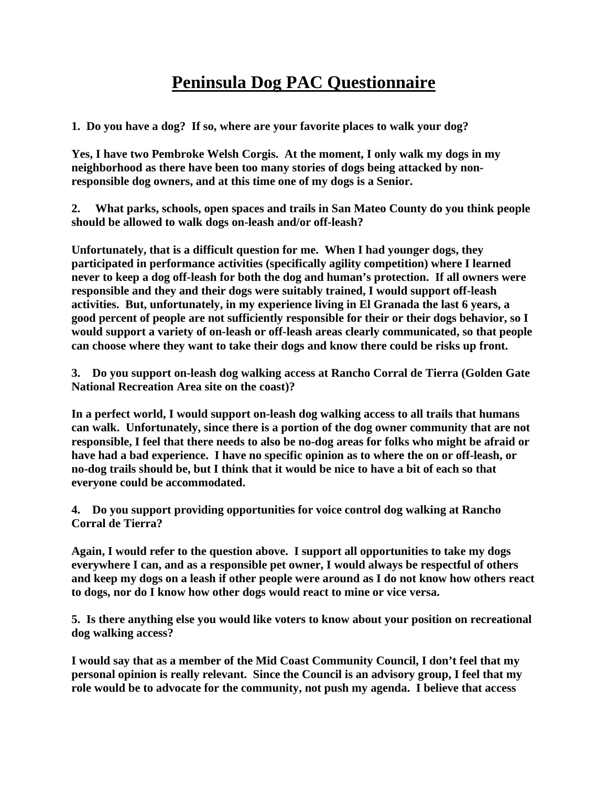## **Peninsula Dog PAC Questionnaire**

**1. Do you have a dog? If so, where are your favorite places to walk your dog?**

**Yes, I have two Pembroke Welsh Corgis. At the moment, I only walk my dogs in my neighborhood as there have been too many stories of dogs being attacked by nonresponsible dog owners, and at this time one of my dogs is a Senior.** 

**2. What parks, schools, open spaces and trails in San Mateo County do you think people should be allowed to walk dogs on-leash and/or off-leash?**

**Unfortunately, that is a difficult question for me. When I had younger dogs, they participated in performance activities (specifically agility competition) where I learned never to keep a dog off-leash for both the dog and human's protection. If all owners were responsible and they and their dogs were suitably trained, I would support off-leash activities. But, unfortunately, in my experience living in El Granada the last 6 years, a good percent of people are not sufficiently responsible for their or their dogs behavior, so I would support a variety of on-leash or off-leash areas clearly communicated, so that people can choose where they want to take their dogs and know there could be risks up front.** 

**3. Do you support on-leash dog walking access at Rancho Corral de Tierra (Golden Gate National Recreation Area site on the coast)?**

**In a perfect world, I would support on-leash dog walking access to all trails that humans can walk. Unfortunately, since there is a portion of the dog owner community that are not responsible, I feel that there needs to also be no-dog areas for folks who might be afraid or have had a bad experience. I have no specific opinion as to where the on or off-leash, or no-dog trails should be, but I think that it would be nice to have a bit of each so that everyone could be accommodated.**

**4. Do you support providing opportunities for voice control dog walking at Rancho Corral de Tierra?**

**Again, I would refer to the question above. I support all opportunities to take my dogs everywhere I can, and as a responsible pet owner, I would always be respectful of others and keep my dogs on a leash if other people were around as I do not know how others react to dogs, nor do I know how other dogs would react to mine or vice versa.** 

**5. Is there anything else you would like voters to know about your position on recreational dog walking access?**

**I would say that as a member of the Mid Coast Community Council, I don't feel that my personal opinion is really relevant. Since the Council is an advisory group, I feel that my role would be to advocate for the community, not push my agenda. I believe that access**